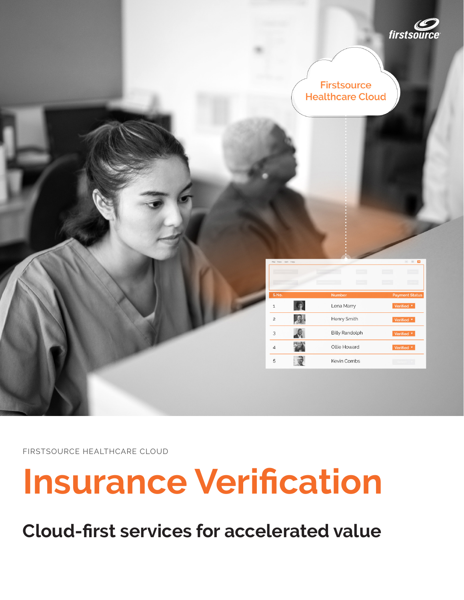

| <b>Firstsource</b>      |  |
|-------------------------|--|
| <b>Healthcare Cloud</b> |  |

| FILE VIEW EGIL HELD |                       | .                     |
|---------------------|-----------------------|-----------------------|
|                     |                       |                       |
| S.No.               | <b>Number</b>         | <b>Payment Status</b> |
| 1                   | Lena Marry            | Verified <b>v</b>     |
| $\overline{c}$      | Henry Smith           | Verified <b>v</b>     |
| 3                   | <b>Billy Randolph</b> | Verified <b>v</b>     |
| 4                   | Ollie Howard          | Verified v            |
| 5                   | <b>Kevin Combs</b>    | Select                |

FIRSTSOURCE HEALTHCARE CLOUD

# **Insurance Verification**

**Cloud-first services for accelerated value**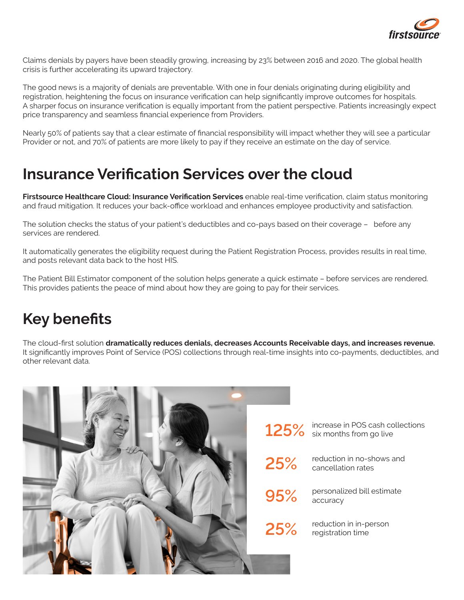

Claims denials by payers have been steadily growing, increasing by 23% between 2016 and 2020. The global health crisis is further accelerating its upward trajectory.

The good news is a majority of denials are preventable. With one in four denials originating during eligibility and registration, heightening the focus on insurance verification can help significantly improve outcomes for hospitals. A sharper focus on insurance verification is equally important from the patient perspective. Patients increasingly expect price transparency and seamless financial experience from Providers.

Nearly 50% of patients say that a clear estimate of financial responsibility will impact whether they will see a particular Provider or not, and 70% of patients are more likely to pay if they receive an estimate on the day of service.

#### **Insurance Verification Services over the cloud**

**Firstsource Healthcare Cloud: Insurance Verification Services** enable real-time verification, claim status monitoring and fraud mitigation. It reduces your back-office workload and enhances employee productivity and satisfaction.

The solution checks the status of your patient's deductibles and co-pays based on their coverage – before any services are rendered.

It automatically generates the eligibility request during the Patient Registration Process, provides results in real time, and posts relevant data back to the host HIS.

The Patient Bill Estimator component of the solution helps generate a quick estimate – before services are rendered. This provides patients the peace of mind about how they are going to pay for their services.

### **Key benefits**

The cloud-first solution **dramatically reduces denials, decreases Accounts Receivable days, and increases revenue.**  It significantly improves Point of Service (POS) collections through real-time insights into co-payments, deductibles, and other relevant data.

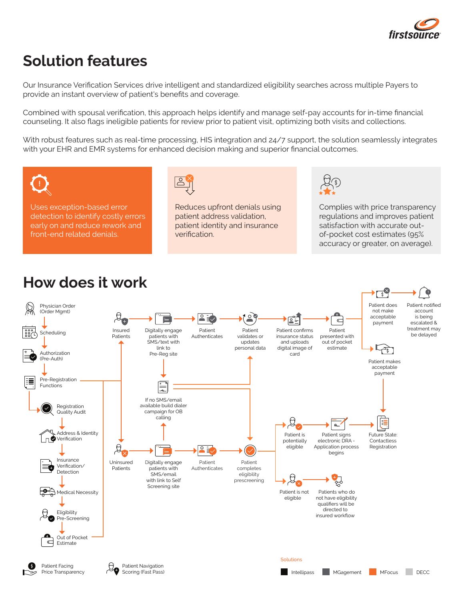

## **Solution features**

Our Insurance Verification Services drive intelligent and standardized eligibility searches across multiple Payers to provide an instant overview of patient's benefits and coverage.

Combined with spousal verification, this approach helps identify and manage self-pay accounts for in-time financial counseling. It also flags ineligible patients for review prior to patient visit, optimizing both visits and collections.

With robust features such as real-time processing, HIS integration and 24/7 support, the solution seamlessly integrates with your EHR and EMR systems for enhanced decision making and superior financial outcomes.



Uses exception-based error detection to identify costly errors early on and reduce rework and front-end related denials.



Reduces upfront denials using patient address validation, patient identity and insurance verification.



Complies with price transparency regulations and improves patient satisfaction with accurate outof-pocket cost estimates (95% accuracy or greater, on average).